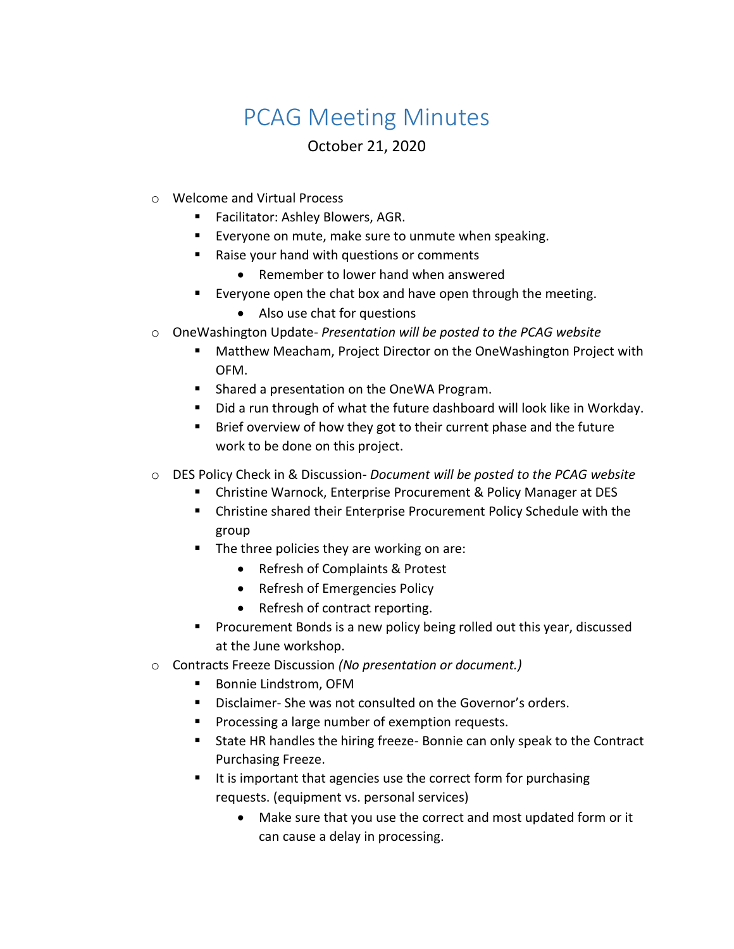## PCAG Meeting Minutes

## October 21, 2020

- o Welcome and Virtual Process
	- **Facilitator: Ashley Blowers, AGR.**
	- **Everyone on mute, make sure to unmute when speaking.**
	- Raise your hand with questions or comments
		- Remember to lower hand when answered
	- Everyone open the chat box and have open through the meeting.
		- Also use chat for questions
- o OneWashington Update- *Presentation will be posted to the PCAG website*
	- Matthew Meacham, Project Director on the OneWashington Project with OFM.
	- **Shared a presentation on the OneWA Program.**
	- Did a run through of what the future dashboard will look like in Workday.
	- **Brief overview of how they got to their current phase and the future** work to be done on this project.
- o DES Policy Check in & Discussion- *Document will be posted to the PCAG website*
	- Christine Warnock, Enterprise Procurement & Policy Manager at DES
	- Christine shared their Enterprise Procurement Policy Schedule with the group
	- The three policies they are working on are:
		- Refresh of Complaints & Protest
		- Refresh of Emergencies Policy
		- Refresh of contract reporting.
	- **Procurement Bonds is a new policy being rolled out this year, discussed** at the June workshop.
- o Contracts Freeze Discussion *(No presentation or document.)*
	- Bonnie Lindstrom, OFM
	- Disclaimer- She was not consulted on the Governor's orders.
	- **Processing a large number of exemption requests.**
	- **State HR handles the hiring freeze- Bonnie can only speak to the Contract** Purchasing Freeze.
	- It is important that agencies use the correct form for purchasing requests. (equipment vs. personal services)
		- Make sure that you use the correct and most updated form or it can cause a delay in processing.